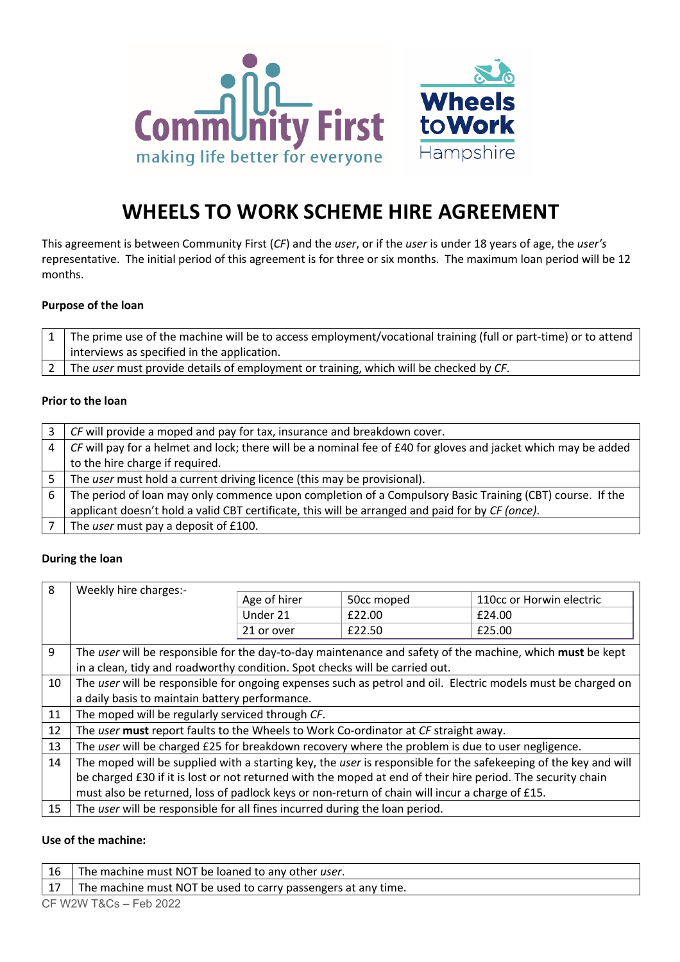



# **WHEELS TO WORK SCHEME HIRE AGREEMENT**

This agreement is between Community First (*CF*) and the *user*, or if the *user* is under 18 years of age, the *user's* representative. The initial period of this agreement is for three or six months. The maximum loan period will be 12 months.

# **Purpose of the loan**

| $\mid 1 \mid$ The prime use of the machine will be to access employment/vocational training (full or part-time) or to attend |
|------------------------------------------------------------------------------------------------------------------------------|
| interviews as specified in the application.                                                                                  |
| 2 The user must provide details of employment or training, which will be checked by CF.                                      |
|                                                                                                                              |

## **Prior to the loan**

| 3 | CF will provide a moped and pay for tax, insurance and breakdown cover.                                          |
|---|------------------------------------------------------------------------------------------------------------------|
| 4 | $CF$ will pay for a helmet and lock; there will be a nominal fee of £40 for gloves and jacket which may be added |
|   | to the hire charge if required.                                                                                  |
|   | The user must hold a current driving licence (this may be provisional).                                          |
| 6 | The period of loan may only commence upon completion of a Compulsory Basic Training (CBT) course. If the         |
|   | applicant doesn't hold a valid CBT certificate, this will be arranged and paid for by CF (once).                 |
|   | The user must pay a deposit of £100.                                                                             |

## **During the loan**

| 8  | Weekly hire charges:-                                                                                       |              |            |                                                                                                                 |
|----|-------------------------------------------------------------------------------------------------------------|--------------|------------|-----------------------------------------------------------------------------------------------------------------|
|    |                                                                                                             | Age of hirer | 50cc moped | 110cc or Horwin electric                                                                                        |
|    |                                                                                                             | Under 21     | £22.00     | £24.00                                                                                                          |
|    |                                                                                                             | 21 or over   | £22.50     | £25.00                                                                                                          |
| 9  | The user will be responsible for the day-to-day maintenance and safety of the machine, which must be kept   |              |            |                                                                                                                 |
|    | in a clean, tidy and roadworthy condition. Spot checks will be carried out.                                 |              |            |                                                                                                                 |
| 10 |                                                                                                             |              |            | The user will be responsible for ongoing expenses such as petrol and oil. Electric models must be charged on    |
|    | a daily basis to maintain battery performance.                                                              |              |            |                                                                                                                 |
| 11 | The moped will be regularly serviced through CF.                                                            |              |            |                                                                                                                 |
| 12 | The user must report faults to the Wheels to Work Co-ordinator at CF straight away.                         |              |            |                                                                                                                 |
| 13 | The user will be charged £25 for breakdown recovery where the problem is due to user negligence.            |              |            |                                                                                                                 |
| 14 |                                                                                                             |              |            | The moped will be supplied with a starting key, the user is responsible for the safekeeping of the key and will |
|    | be charged £30 if it is lost or not returned with the moped at end of their hire period. The security chain |              |            |                                                                                                                 |
|    | must also be returned, loss of padlock keys or non-return of chain will incur a charge of £15.              |              |            |                                                                                                                 |
| 15 | The user will be responsible for all fines incurred during the loan period.                                 |              |            |                                                                                                                 |

## **Use of the machine:**

| 16 | The machine must NOT be loaned to any other user.             |  |
|----|---------------------------------------------------------------|--|
| 17 | The machine must NOT be used to carry passengers at any time. |  |
|    | CF W2W T&Cs – Feb 2022                                        |  |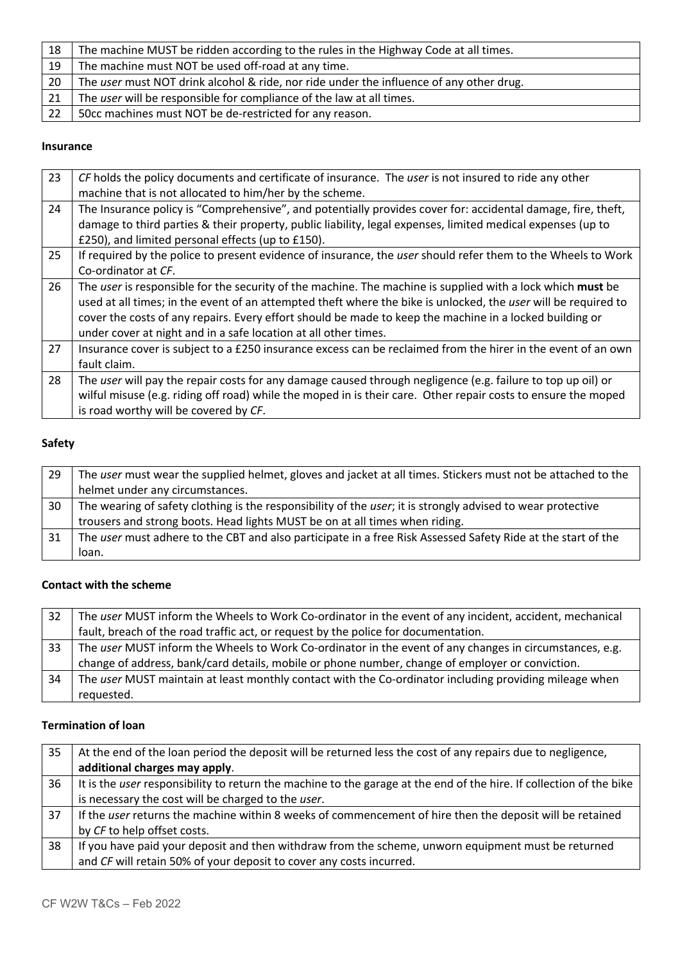| 18 | The machine MUST be ridden according to the rules in the Highway Code at all times.     |
|----|-----------------------------------------------------------------------------------------|
| 19 | The machine must NOT be used off-road at any time.                                      |
| 20 | The user must NOT drink alcohol & ride, nor ride under the influence of any other drug. |
| 21 | The user will be responsible for compliance of the law at all times.                    |
| 22 | 50cc machines must NOT be de-restricted for any reason.                                 |

 $\overline{a}$ 

# **Insurance**

| 23 | CF holds the policy documents and certificate of insurance. The user is not insured to ride any other          |
|----|----------------------------------------------------------------------------------------------------------------|
|    | machine that is not allocated to him/her by the scheme.                                                        |
| 24 | The Insurance policy is "Comprehensive", and potentially provides cover for: accidental damage, fire, theft,   |
|    | damage to third parties & their property, public liability, legal expenses, limited medical expenses (up to    |
|    | £250), and limited personal effects (up to £150).                                                              |
| 25 | If required by the police to present evidence of insurance, the user should refer them to the Wheels to Work   |
|    | Co-ordinator at CF.                                                                                            |
| 26 | The user is responsible for the security of the machine. The machine is supplied with a lock which must be     |
|    | used at all times; in the event of an attempted theft where the bike is unlocked, the user will be required to |
|    | cover the costs of any repairs. Every effort should be made to keep the machine in a locked building or        |
|    | under cover at night and in a safe location at all other times.                                                |
| 27 | Insurance cover is subject to a £250 insurance excess can be reclaimed from the hirer in the event of an own   |
|    | fault claim.                                                                                                   |
| 28 | The user will pay the repair costs for any damage caused through negligence (e.g. failure to top up oil) or    |
|    | wilful misuse (e.g. riding off road) while the moped in is their care. Other repair costs to ensure the moped  |
|    | is road worthy will be covered by CF.                                                                          |

#### **Safety**

| 29 | The user must wear the supplied helmet, gloves and jacket at all times. Stickers must not be attached to the |
|----|--------------------------------------------------------------------------------------------------------------|
|    | helmet under any circumstances.                                                                              |
| 30 | The wearing of safety clothing is the responsibility of the user; it is strongly advised to wear protective  |
|    | trousers and strong boots. Head lights MUST be on at all times when riding.                                  |
| 31 | The user must adhere to the CBT and also participate in a free Risk Assessed Safety Ride at the start of the |
|    | loan.                                                                                                        |

## **Contact with the scheme**

| 32 | The user MUST inform the Wheels to Work Co-ordinator in the event of any incident, accident, mechanical |
|----|---------------------------------------------------------------------------------------------------------|
|    | fault, breach of the road traffic act, or request by the police for documentation.                      |
| 33 | The user MUST inform the Wheels to Work Co-ordinator in the event of any changes in circumstances, e.g. |
|    | change of address, bank/card details, mobile or phone number, change of employer or conviction.         |
| 34 | The user MUST maintain at least monthly contact with the Co-ordinator including providing mileage when  |
|    | requested.                                                                                              |

# **Termination of loan**

| 35 | At the end of the loan period the deposit will be returned less the cost of any repairs due to negligence,          |
|----|---------------------------------------------------------------------------------------------------------------------|
|    | additional charges may apply.                                                                                       |
| 36 | It is the user responsibility to return the machine to the garage at the end of the hire. If collection of the bike |
|    | is necessary the cost will be charged to the user.                                                                  |
| 37 | If the user returns the machine within 8 weeks of commencement of hire then the deposit will be retained            |
|    | by CF to help offset costs.                                                                                         |
| 38 | If you have paid your deposit and then withdraw from the scheme, unworn equipment must be returned                  |
|    | and CF will retain 50% of your deposit to cover any costs incurred.                                                 |